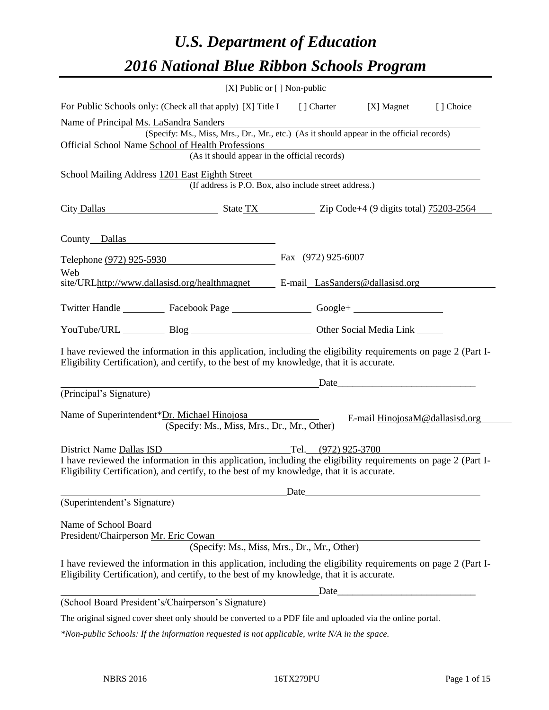# *U.S. Department of Education 2016 National Blue Ribbon Schools Program*

|                                                                                                                                                                                                                                                                | [X] Public or $[$ ] Non-public |                                |           |
|----------------------------------------------------------------------------------------------------------------------------------------------------------------------------------------------------------------------------------------------------------------|--------------------------------|--------------------------------|-----------|
| For Public Schools only: (Check all that apply) [X] Title I [] Charter [X] Magnet                                                                                                                                                                              |                                |                                | [] Choice |
| Name of Principal Ms. LaSandra Sanders<br>(Specify: Ms., Miss, Mrs., Dr., Mr., etc.) (As it should appear in the official records)<br>Official School Name School of Health Professions<br>Health Professions<br>(As it should appear in the official records) |                                |                                |           |
| School Mailing Address 1201 East Eighth Street<br>(If address is P.O. Box, also include street address.)                                                                                                                                                       |                                |                                |           |
| City Dallas State TX Zip Code+4 (9 digits total) 75203-2564                                                                                                                                                                                                    |                                |                                |           |
| County Dallas                                                                                                                                                                                                                                                  |                                |                                |           |
| Telephone (972) 925-5930                                                                                                                                                                                                                                       | Fax $(972)$ 925-6007           |                                |           |
| Web<br>site/URLhttp://www.dallasisd.org/healthmagnet E-mail LasSanders@dallasisd.org                                                                                                                                                                           |                                |                                |           |
| Twitter Handle ____________ Facebook Page ____________________ Google+ _____________________________                                                                                                                                                           |                                |                                |           |
| YouTube/URL Blog Blog Cher Social Media Link                                                                                                                                                                                                                   |                                |                                |           |
| I have reviewed the information in this application, including the eligibility requirements on page 2 (Part I-<br>Eligibility Certification), and certify, to the best of my knowledge, that it is accurate.                                                   |                                |                                |           |
| (Principal's Signature)                                                                                                                                                                                                                                        |                                | Date                           |           |
| Name of Superintendent*Dr. Michael Hinojosa<br>(Specify: Ms., Miss, Mrs., Dr., Mr., Other)                                                                                                                                                                     |                                | E-mail HinojosaM@dallasisd.org |           |
| District Name Dallas ISD<br>I have reviewed the information in this application, including the eligibility requirements on page 2 (Part I-<br>Eligibility Certification), and certify, to the best of my knowledge, that it is accurate.                       | Tel. (972) 925-3700            |                                |           |
| (Superintendent's Signature)                                                                                                                                                                                                                                   |                                |                                |           |
| Name of School Board<br>President/Chairperson Mr. Eric Cowan<br>(Specify: Ms., Miss, Mrs., Dr., Mr., Other)                                                                                                                                                    |                                |                                |           |
| I have reviewed the information in this application, including the eligibility requirements on page 2 (Part I-<br>Eligibility Certification), and certify, to the best of my knowledge, that it is accurate.                                                   |                                |                                |           |
|                                                                                                                                                                                                                                                                |                                |                                |           |
| (School Board President's/Chairperson's Signature)                                                                                                                                                                                                             |                                |                                |           |
| The original signed cover sheet only should be converted to a PDF file and uploaded via the online portal.                                                                                                                                                     |                                |                                |           |

*\*Non-public Schools: If the information requested is not applicable, write N/A in the space.*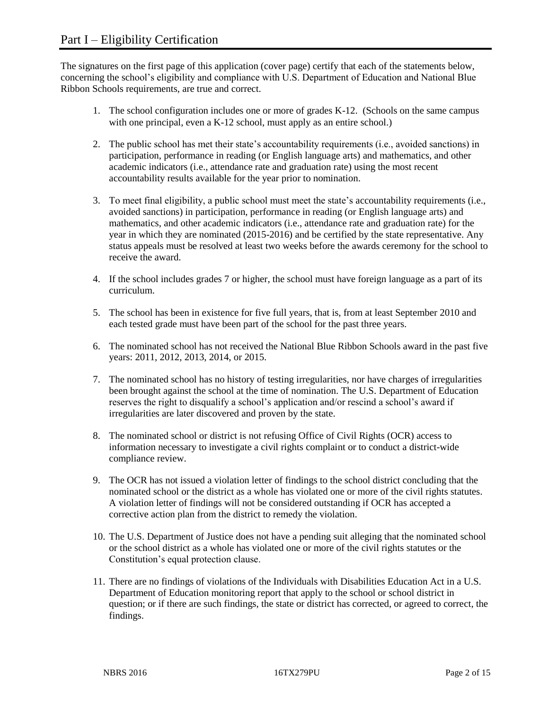The signatures on the first page of this application (cover page) certify that each of the statements below, concerning the school's eligibility and compliance with U.S. Department of Education and National Blue Ribbon Schools requirements, are true and correct.

- 1. The school configuration includes one or more of grades K-12. (Schools on the same campus with one principal, even a K-12 school, must apply as an entire school.)
- 2. The public school has met their state's accountability requirements (i.e., avoided sanctions) in participation, performance in reading (or English language arts) and mathematics, and other academic indicators (i.e., attendance rate and graduation rate) using the most recent accountability results available for the year prior to nomination.
- 3. To meet final eligibility, a public school must meet the state's accountability requirements (i.e., avoided sanctions) in participation, performance in reading (or English language arts) and mathematics, and other academic indicators (i.e., attendance rate and graduation rate) for the year in which they are nominated (2015-2016) and be certified by the state representative. Any status appeals must be resolved at least two weeks before the awards ceremony for the school to receive the award.
- 4. If the school includes grades 7 or higher, the school must have foreign language as a part of its curriculum.
- 5. The school has been in existence for five full years, that is, from at least September 2010 and each tested grade must have been part of the school for the past three years.
- 6. The nominated school has not received the National Blue Ribbon Schools award in the past five years: 2011, 2012, 2013, 2014, or 2015.
- 7. The nominated school has no history of testing irregularities, nor have charges of irregularities been brought against the school at the time of nomination. The U.S. Department of Education reserves the right to disqualify a school's application and/or rescind a school's award if irregularities are later discovered and proven by the state.
- 8. The nominated school or district is not refusing Office of Civil Rights (OCR) access to information necessary to investigate a civil rights complaint or to conduct a district-wide compliance review.
- 9. The OCR has not issued a violation letter of findings to the school district concluding that the nominated school or the district as a whole has violated one or more of the civil rights statutes. A violation letter of findings will not be considered outstanding if OCR has accepted a corrective action plan from the district to remedy the violation.
- 10. The U.S. Department of Justice does not have a pending suit alleging that the nominated school or the school district as a whole has violated one or more of the civil rights statutes or the Constitution's equal protection clause.
- 11. There are no findings of violations of the Individuals with Disabilities Education Act in a U.S. Department of Education monitoring report that apply to the school or school district in question; or if there are such findings, the state or district has corrected, or agreed to correct, the findings.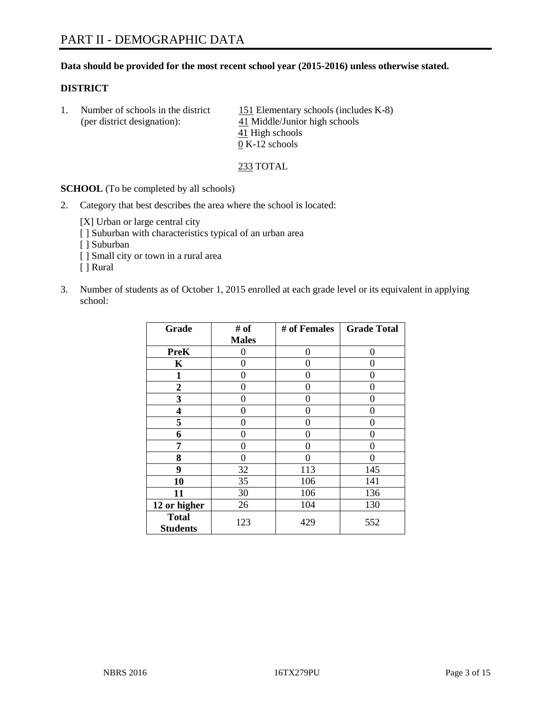### **Data should be provided for the most recent school year (2015-2016) unless otherwise stated.**

### **DISTRICT**

1. Number of schools in the district  $151$  Elementary schools (includes K-8) (per district designation):  $\frac{41 \text{ Middle/Junior high schools}}{}$ 41 High schools  $\overline{0}$  K-12 schools

233 TOTAL

**SCHOOL** (To be completed by all schools)

2. Category that best describes the area where the school is located:

[X] Urban or large central city [ ] Suburban with characteristics typical of an urban area [ ] Suburban

- [ ] Small city or town in a rural area
- [ ] Rural
- 3. Number of students as of October 1, 2015 enrolled at each grade level or its equivalent in applying school:

| Grade                           | # of         | # of Females | <b>Grade Total</b> |
|---------------------------------|--------------|--------------|--------------------|
|                                 | <b>Males</b> |              |                    |
| <b>PreK</b>                     | 0            | 0            | $\theta$           |
| K                               | 0            | 0            | $\theta$           |
| 1                               | 0            | 0            | $\Omega$           |
| $\boldsymbol{2}$                | 0            | 0            | 0                  |
| 3                               | 0            | 0            | $\theta$           |
| 4                               | 0            | 0            | $\Omega$           |
| 5                               | 0            | 0            | 0                  |
| 6                               | 0            | 0            | $\theta$           |
| 7                               | 0            | 0            | 0                  |
| 8                               | 0            | 0            | 0                  |
| 9                               | 32           | 113          | 145                |
| 10                              | 35           | 106          | 141                |
| 11                              | 30           | 106          | 136                |
| 12 or higher                    | 26           | 104          | 130                |
| <b>Total</b><br><b>Students</b> | 123          | 429          | 552                |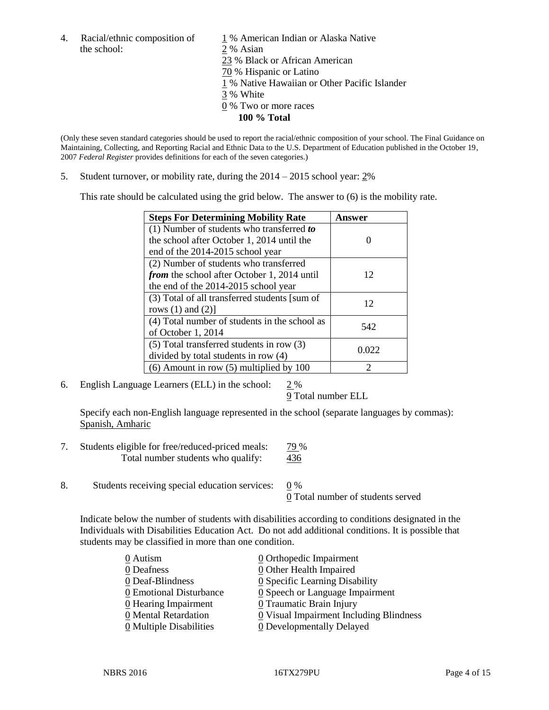the school: 2 % Asian

4. Racial/ethnic composition of  $1\%$  American Indian or Alaska Native 23 % Black or African American 70 % Hispanic or Latino 1 % Native Hawaiian or Other Pacific Islander 3 % White 0 % Two or more races **100 % Total**

(Only these seven standard categories should be used to report the racial/ethnic composition of your school. The Final Guidance on Maintaining, Collecting, and Reporting Racial and Ethnic Data to the U.S. Department of Education published in the October 19, 2007 *Federal Register* provides definitions for each of the seven categories.)

5. Student turnover, or mobility rate, during the 2014 – 2015 school year: 2%

This rate should be calculated using the grid below. The answer to (6) is the mobility rate.

| <b>Steps For Determining Mobility Rate</b>         | Answer |
|----------------------------------------------------|--------|
| $(1)$ Number of students who transferred to        |        |
| the school after October 1, 2014 until the         |        |
| end of the 2014-2015 school year                   |        |
| (2) Number of students who transferred             |        |
| <i>from</i> the school after October 1, 2014 until | 12     |
| the end of the 2014-2015 school year               |        |
| (3) Total of all transferred students [sum of      | 12     |
| rows $(1)$ and $(2)$ ]                             |        |
| (4) Total number of students in the school as      | 542    |
| of October 1, 2014                                 |        |
| (5) Total transferred students in row (3)          | 0.022  |
| divided by total students in row (4)               |        |
| $(6)$ Amount in row $(5)$ multiplied by 100        |        |

6. English Language Learners (ELL) in the school: 2 %

9 Total number ELL

Specify each non-English language represented in the school (separate languages by commas): Spanish, Amharic

- 7. Students eligible for free/reduced-priced meals: 79 % Total number students who qualify:  $\frac{436}{120}$
- 8. Students receiving special education services: 0 %

0 Total number of students served

Indicate below the number of students with disabilities according to conditions designated in the Individuals with Disabilities Education Act. Do not add additional conditions. It is possible that students may be classified in more than one condition.

| 0 Autism                              | $\underline{0}$ Orthopedic Impairment         |
|---------------------------------------|-----------------------------------------------|
| 0 Deafness                            | $\underline{0}$ Other Health Impaired         |
| 0 Deaf-Blindness                      | 0 Specific Learning Disability                |
| 0 Emotional Disturbance               | $\underline{0}$ Speech or Language Impairment |
| 0 Hearing Impairment                  | 0 Traumatic Brain Injury                      |
| 0 Mental Retardation                  | 0 Visual Impairment Including Blindness       |
| $\underline{0}$ Multiple Disabilities | <b>0</b> Developmentally Delayed              |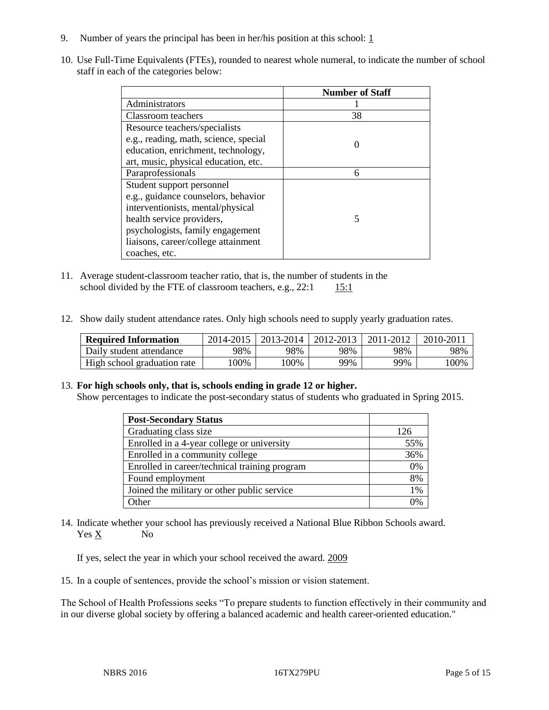- 9. Number of years the principal has been in her/his position at this school:  $1 \overline{1}$
- 10. Use Full-Time Equivalents (FTEs), rounded to nearest whole numeral, to indicate the number of school staff in each of the categories below:

|                                       | <b>Number of Staff</b> |
|---------------------------------------|------------------------|
| Administrators                        |                        |
| Classroom teachers                    | 38                     |
| Resource teachers/specialists         |                        |
| e.g., reading, math, science, special |                        |
| education, enrichment, technology,    |                        |
| art, music, physical education, etc.  |                        |
| Paraprofessionals                     | 6                      |
| Student support personnel             |                        |
| e.g., guidance counselors, behavior   |                        |
| interventionists, mental/physical     |                        |
| health service providers,             | 5                      |
| psychologists, family engagement      |                        |
| liaisons, career/college attainment   |                        |
| coaches, etc.                         |                        |

- 11. Average student-classroom teacher ratio, that is, the number of students in the school divided by the FTE of classroom teachers, e.g.,  $22:1$  15:1
- 12. Show daily student attendance rates. Only high schools need to supply yearly graduation rates.

| <b>Required Information</b> | 2014-2015 | $2013 - 2014$ | 2012-2013 | 2011-2012 | 2010-201 |
|-----------------------------|-----------|---------------|-----------|-----------|----------|
| Daily student attendance    | 98%       | 98%           | 98%       | 98%       | 98%      |
| High school graduation rate | 00%       | 00%           | 99%       | 99%       | !00%     |

### 13. **For high schools only, that is, schools ending in grade 12 or higher.**

Show percentages to indicate the post-secondary status of students who graduated in Spring 2015.

| <b>Post-Secondary Status</b>                  |                |
|-----------------------------------------------|----------------|
| Graduating class size                         | 126            |
| Enrolled in a 4-year college or university    | 55%            |
| Enrolled in a community college               | 36%            |
| Enrolled in career/technical training program | 0%             |
| Found employment                              | 8%             |
| Joined the military or other public service   | 1%             |
| Other                                         | $\frac{10}{4}$ |

14. Indicate whether your school has previously received a National Blue Ribbon Schools award. Yes X No

If yes, select the year in which your school received the award. 2009

15. In a couple of sentences, provide the school's mission or vision statement.

The School of Health Professions seeks "To prepare students to function effectively in their community and in our diverse global society by offering a balanced academic and health career-oriented education."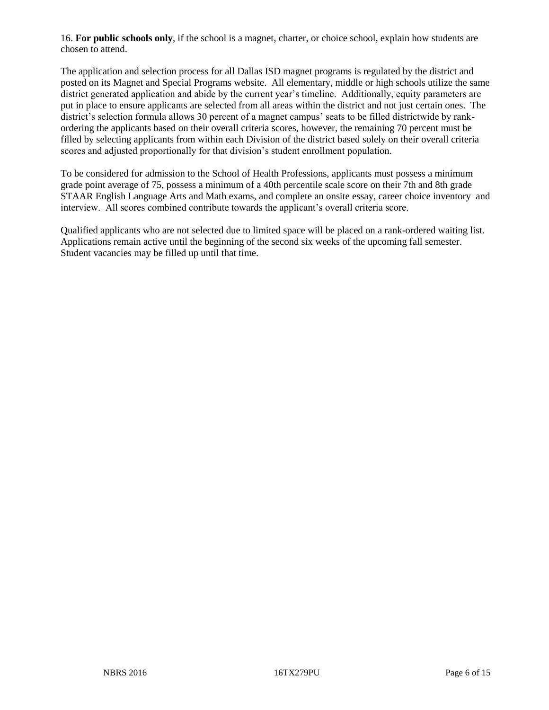16. **For public schools only**, if the school is a magnet, charter, or choice school, explain how students are chosen to attend.

The application and selection process for all Dallas ISD magnet programs is regulated by the district and posted on its Magnet and Special Programs website. All elementary, middle or high schools utilize the same district generated application and abide by the current year's timeline. Additionally, equity parameters are put in place to ensure applicants are selected from all areas within the district and not just certain ones. The district's selection formula allows 30 percent of a magnet campus' seats to be filled districtwide by rankordering the applicants based on their overall criteria scores, however, the remaining 70 percent must be filled by selecting applicants from within each Division of the district based solely on their overall criteria scores and adjusted proportionally for that division's student enrollment population.

To be considered for admission to the School of Health Professions, applicants must possess a minimum grade point average of 75, possess a minimum of a 40th percentile scale score on their 7th and 8th grade STAAR English Language Arts and Math exams, and complete an onsite essay, career choice inventory and interview. All scores combined contribute towards the applicant's overall criteria score.

Qualified applicants who are not selected due to limited space will be placed on a rank-ordered waiting list. Applications remain active until the beginning of the second six weeks of the upcoming fall semester. Student vacancies may be filled up until that time.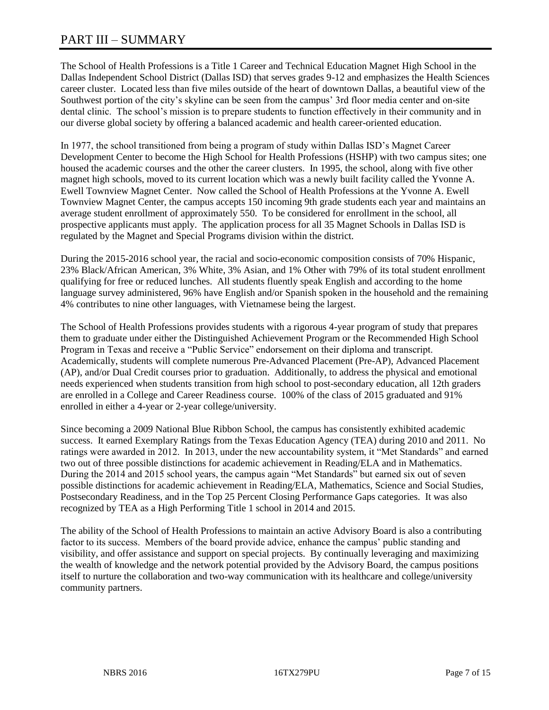# PART III – SUMMARY

The School of Health Professions is a Title 1 Career and Technical Education Magnet High School in the Dallas Independent School District (Dallas ISD) that serves grades 9-12 and emphasizes the Health Sciences career cluster. Located less than five miles outside of the heart of downtown Dallas, a beautiful view of the Southwest portion of the city's skyline can be seen from the campus' 3rd floor media center and on-site dental clinic. The school's mission is to prepare students to function effectively in their community and in our diverse global society by offering a balanced academic and health career-oriented education.

In 1977, the school transitioned from being a program of study within Dallas ISD's Magnet Career Development Center to become the High School for Health Professions (HSHP) with two campus sites; one housed the academic courses and the other the career clusters. In 1995, the school, along with five other magnet high schools, moved to its current location which was a newly built facility called the Yvonne A. Ewell Townview Magnet Center. Now called the School of Health Professions at the Yvonne A. Ewell Townview Magnet Center, the campus accepts 150 incoming 9th grade students each year and maintains an average student enrollment of approximately 550. To be considered for enrollment in the school, all prospective applicants must apply. The application process for all 35 Magnet Schools in Dallas ISD is regulated by the Magnet and Special Programs division within the district.

During the 2015-2016 school year, the racial and socio-economic composition consists of 70% Hispanic, 23% Black/African American, 3% White, 3% Asian, and 1% Other with 79% of its total student enrollment qualifying for free or reduced lunches. All students fluently speak English and according to the home language survey administered, 96% have English and/or Spanish spoken in the household and the remaining 4% contributes to nine other languages, with Vietnamese being the largest.

The School of Health Professions provides students with a rigorous 4-year program of study that prepares them to graduate under either the Distinguished Achievement Program or the Recommended High School Program in Texas and receive a "Public Service" endorsement on their diploma and transcript. Academically, students will complete numerous Pre-Advanced Placement (Pre-AP), Advanced Placement (AP), and/or Dual Credit courses prior to graduation. Additionally, to address the physical and emotional needs experienced when students transition from high school to post-secondary education, all 12th graders are enrolled in a College and Career Readiness course. 100% of the class of 2015 graduated and 91% enrolled in either a 4-year or 2-year college/university.

Since becoming a 2009 National Blue Ribbon School, the campus has consistently exhibited academic success. It earned Exemplary Ratings from the Texas Education Agency (TEA) during 2010 and 2011. No ratings were awarded in 2012. In 2013, under the new accountability system, it "Met Standards" and earned two out of three possible distinctions for academic achievement in Reading/ELA and in Mathematics. During the 2014 and 2015 school years, the campus again "Met Standards" but earned six out of seven possible distinctions for academic achievement in Reading/ELA, Mathematics, Science and Social Studies, Postsecondary Readiness, and in the Top 25 Percent Closing Performance Gaps categories. It was also recognized by TEA as a High Performing Title 1 school in 2014 and 2015.

The ability of the School of Health Professions to maintain an active Advisory Board is also a contributing factor to its success. Members of the board provide advice, enhance the campus' public standing and visibility, and offer assistance and support on special projects. By continually leveraging and maximizing the wealth of knowledge and the network potential provided by the Advisory Board, the campus positions itself to nurture the collaboration and two-way communication with its healthcare and college/university community partners.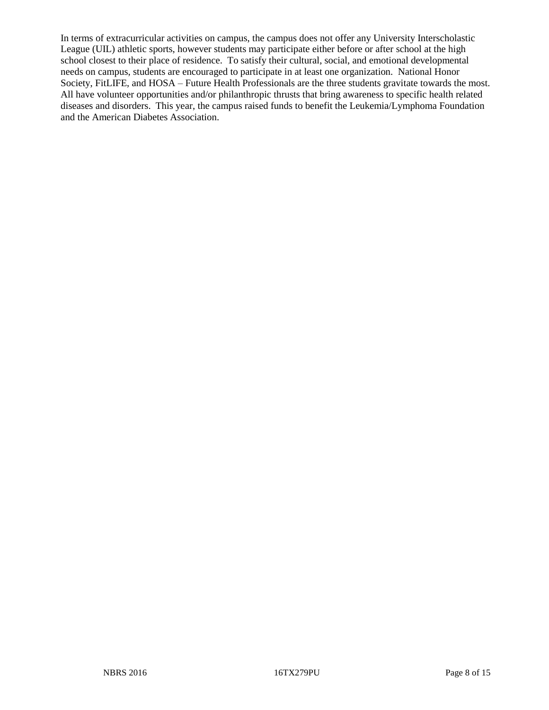In terms of extracurricular activities on campus, the campus does not offer any University Interscholastic League (UIL) athletic sports, however students may participate either before or after school at the high school closest to their place of residence. To satisfy their cultural, social, and emotional developmental needs on campus, students are encouraged to participate in at least one organization. National Honor Society, FitLIFE, and HOSA – Future Health Professionals are the three students gravitate towards the most. All have volunteer opportunities and/or philanthropic thrusts that bring awareness to specific health related diseases and disorders. This year, the campus raised funds to benefit the Leukemia/Lymphoma Foundation and the American Diabetes Association.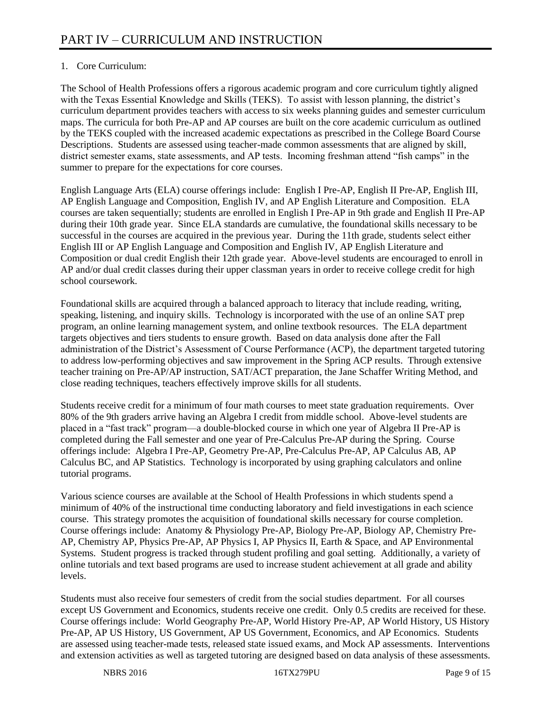# 1. Core Curriculum:

The School of Health Professions offers a rigorous academic program and core curriculum tightly aligned with the Texas Essential Knowledge and Skills (TEKS). To assist with lesson planning, the district's curriculum department provides teachers with access to six weeks planning guides and semester curriculum maps. The curricula for both Pre-AP and AP courses are built on the core academic curriculum as outlined by the TEKS coupled with the increased academic expectations as prescribed in the College Board Course Descriptions. Students are assessed using teacher-made common assessments that are aligned by skill, district semester exams, state assessments, and AP tests. Incoming freshman attend "fish camps" in the summer to prepare for the expectations for core courses.

English Language Arts (ELA) course offerings include: English I Pre-AP, English II Pre-AP, English III, AP English Language and Composition, English IV, and AP English Literature and Composition. ELA courses are taken sequentially; students are enrolled in English I Pre-AP in 9th grade and English II Pre-AP during their 10th grade year. Since ELA standards are cumulative, the foundational skills necessary to be successful in the courses are acquired in the previous year. During the 11th grade, students select either English III or AP English Language and Composition and English IV, AP English Literature and Composition or dual credit English their 12th grade year. Above-level students are encouraged to enroll in AP and/or dual credit classes during their upper classman years in order to receive college credit for high school coursework.

Foundational skills are acquired through a balanced approach to literacy that include reading, writing, speaking, listening, and inquiry skills. Technology is incorporated with the use of an online SAT prep program, an online learning management system, and online textbook resources. The ELA department targets objectives and tiers students to ensure growth. Based on data analysis done after the Fall administration of the District's Assessment of Course Performance (ACP), the department targeted tutoring to address low-performing objectives and saw improvement in the Spring ACP results. Through extensive teacher training on Pre-AP/AP instruction, SAT/ACT preparation, the Jane Schaffer Writing Method, and close reading techniques, teachers effectively improve skills for all students.

Students receive credit for a minimum of four math courses to meet state graduation requirements. Over 80% of the 9th graders arrive having an Algebra I credit from middle school. Above-level students are placed in a "fast track" program—a double-blocked course in which one year of Algebra II Pre-AP is completed during the Fall semester and one year of Pre-Calculus Pre-AP during the Spring. Course offerings include: Algebra I Pre-AP, Geometry Pre-AP, Pre-Calculus Pre-AP, AP Calculus AB, AP Calculus BC, and AP Statistics. Technology is incorporated by using graphing calculators and online tutorial programs.

Various science courses are available at the School of Health Professions in which students spend a minimum of 40% of the instructional time conducting laboratory and field investigations in each science course. This strategy promotes the acquisition of foundational skills necessary for course completion. Course offerings include: Anatomy & Physiology Pre-AP, Biology Pre-AP, Biology AP, Chemistry Pre-AP, Chemistry AP, Physics Pre-AP, AP Physics I, AP Physics II, Earth & Space, and AP Environmental Systems. Student progress is tracked through student profiling and goal setting. Additionally, a variety of online tutorials and text based programs are used to increase student achievement at all grade and ability levels.

Students must also receive four semesters of credit from the social studies department. For all courses except US Government and Economics, students receive one credit. Only 0.5 credits are received for these. Course offerings include: World Geography Pre-AP, World History Pre-AP, AP World History, US History Pre-AP, AP US History, US Government, AP US Government, Economics, and AP Economics. Students are assessed using teacher-made tests, released state issued exams, and Mock AP assessments. Interventions and extension activities as well as targeted tutoring are designed based on data analysis of these assessments.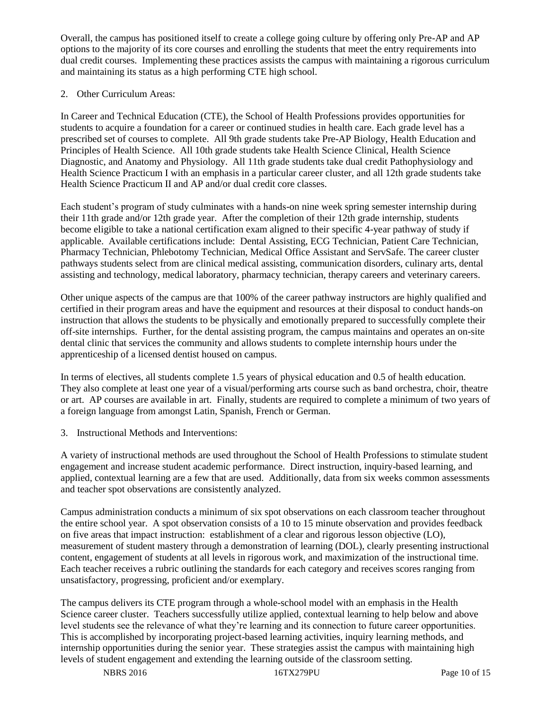Overall, the campus has positioned itself to create a college going culture by offering only Pre-AP and AP options to the majority of its core courses and enrolling the students that meet the entry requirements into dual credit courses. Implementing these practices assists the campus with maintaining a rigorous curriculum and maintaining its status as a high performing CTE high school.

# 2. Other Curriculum Areas:

In Career and Technical Education (CTE), the School of Health Professions provides opportunities for students to acquire a foundation for a career or continued studies in health care. Each grade level has a prescribed set of courses to complete. All 9th grade students take Pre-AP Biology, Health Education and Principles of Health Science. All 10th grade students take Health Science Clinical, Health Science Diagnostic, and Anatomy and Physiology. All 11th grade students take dual credit Pathophysiology and Health Science Practicum I with an emphasis in a particular career cluster, and all 12th grade students take Health Science Practicum II and AP and/or dual credit core classes.

Each student's program of study culminates with a hands-on nine week spring semester internship during their 11th grade and/or 12th grade year. After the completion of their 12th grade internship, students become eligible to take a national certification exam aligned to their specific 4-year pathway of study if applicable. Available certifications include: Dental Assisting, ECG Technician, Patient Care Technician, Pharmacy Technician, Phlebotomy Technician, Medical Office Assistant and ServSafe. The career cluster pathways students select from are clinical medical assisting, communication disorders, culinary arts, dental assisting and technology, medical laboratory, pharmacy technician, therapy careers and veterinary careers.

Other unique aspects of the campus are that 100% of the career pathway instructors are highly qualified and certified in their program areas and have the equipment and resources at their disposal to conduct hands-on instruction that allows the students to be physically and emotionally prepared to successfully complete their off-site internships. Further, for the dental assisting program, the campus maintains and operates an on-site dental clinic that services the community and allows students to complete internship hours under the apprenticeship of a licensed dentist housed on campus.

In terms of electives, all students complete 1.5 years of physical education and 0.5 of health education. They also complete at least one year of a visual/performing arts course such as band orchestra, choir, theatre or art. AP courses are available in art. Finally, students are required to complete a minimum of two years of a foreign language from amongst Latin, Spanish, French or German.

3. Instructional Methods and Interventions:

A variety of instructional methods are used throughout the School of Health Professions to stimulate student engagement and increase student academic performance. Direct instruction, inquiry-based learning, and applied, contextual learning are a few that are used. Additionally, data from six weeks common assessments and teacher spot observations are consistently analyzed.

Campus administration conducts a minimum of six spot observations on each classroom teacher throughout the entire school year. A spot observation consists of a 10 to 15 minute observation and provides feedback on five areas that impact instruction: establishment of a clear and rigorous lesson objective (LO), measurement of student mastery through a demonstration of learning (DOL), clearly presenting instructional content, engagement of students at all levels in rigorous work, and maximization of the instructional time. Each teacher receives a rubric outlining the standards for each category and receives scores ranging from unsatisfactory, progressing, proficient and/or exemplary.

The campus delivers its CTE program through a whole-school model with an emphasis in the Health Science career cluster. Teachers successfully utilize applied, contextual learning to help below and above level students see the relevance of what they're learning and its connection to future career opportunities. This is accomplished by incorporating project-based learning activities, inquiry learning methods, and internship opportunities during the senior year. These strategies assist the campus with maintaining high levels of student engagement and extending the learning outside of the classroom setting.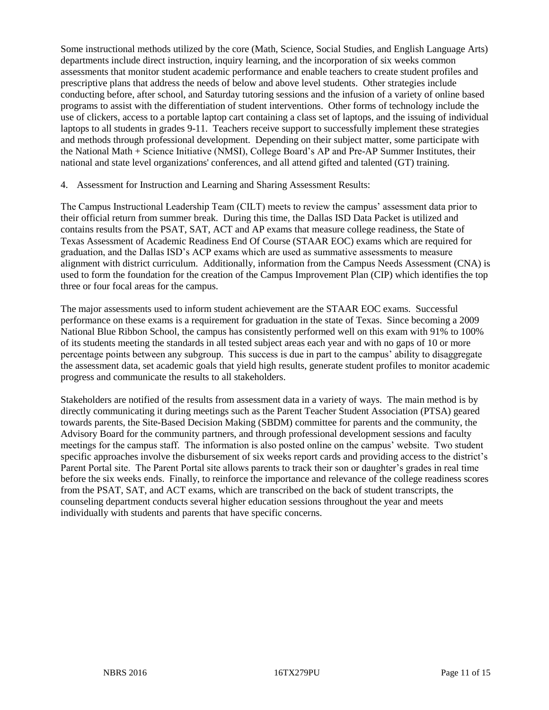Some instructional methods utilized by the core (Math, Science, Social Studies, and English Language Arts) departments include direct instruction, inquiry learning, and the incorporation of six weeks common assessments that monitor student academic performance and enable teachers to create student profiles and prescriptive plans that address the needs of below and above level students. Other strategies include conducting before, after school, and Saturday tutoring sessions and the infusion of a variety of online based programs to assist with the differentiation of student interventions. Other forms of technology include the use of clickers, access to a portable laptop cart containing a class set of laptops, and the issuing of individual laptops to all students in grades 9-11. Teachers receive support to successfully implement these strategies and methods through professional development. Depending on their subject matter, some participate with the National Math + Science Initiative (NMSI), College Board's AP and Pre-AP Summer Institutes, their national and state level organizations' conferences, and all attend gifted and talented (GT) training.

### 4. Assessment for Instruction and Learning and Sharing Assessment Results:

The Campus Instructional Leadership Team (CILT) meets to review the campus' assessment data prior to their official return from summer break. During this time, the Dallas ISD Data Packet is utilized and contains results from the PSAT, SAT, ACT and AP exams that measure college readiness, the State of Texas Assessment of Academic Readiness End Of Course (STAAR EOC) exams which are required for graduation, and the Dallas ISD's ACP exams which are used as summative assessments to measure alignment with district curriculum. Additionally, information from the Campus Needs Assessment (CNA) is used to form the foundation for the creation of the Campus Improvement Plan (CIP) which identifies the top three or four focal areas for the campus.

The major assessments used to inform student achievement are the STAAR EOC exams. Successful performance on these exams is a requirement for graduation in the state of Texas. Since becoming a 2009 National Blue Ribbon School, the campus has consistently performed well on this exam with 91% to 100% of its students meeting the standards in all tested subject areas each year and with no gaps of 10 or more percentage points between any subgroup. This success is due in part to the campus' ability to disaggregate the assessment data, set academic goals that yield high results, generate student profiles to monitor academic progress and communicate the results to all stakeholders.

Stakeholders are notified of the results from assessment data in a variety of ways. The main method is by directly communicating it during meetings such as the Parent Teacher Student Association (PTSA) geared towards parents, the Site-Based Decision Making (SBDM) committee for parents and the community, the Advisory Board for the community partners, and through professional development sessions and faculty meetings for the campus staff. The information is also posted online on the campus' website. Two student specific approaches involve the disbursement of six weeks report cards and providing access to the district's Parent Portal site. The Parent Portal site allows parents to track their son or daughter's grades in real time before the six weeks ends. Finally, to reinforce the importance and relevance of the college readiness scores from the PSAT, SAT, and ACT exams, which are transcribed on the back of student transcripts, the counseling department conducts several higher education sessions throughout the year and meets individually with students and parents that have specific concerns.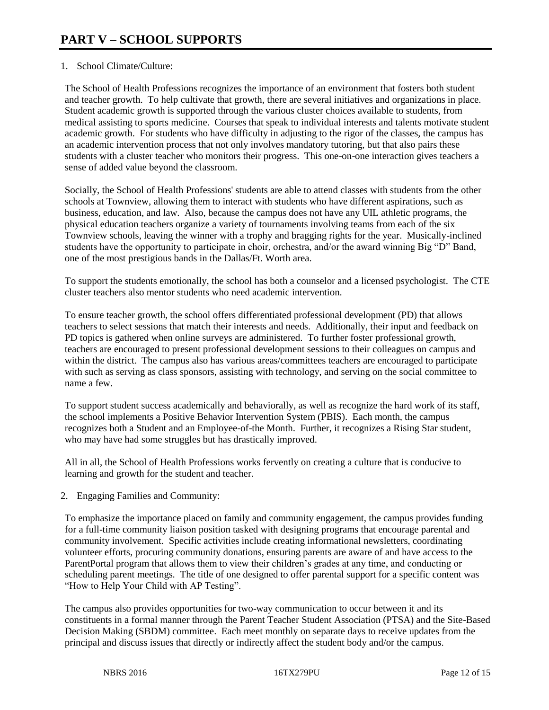# 1. School Climate/Culture:

The School of Health Professions recognizes the importance of an environment that fosters both student and teacher growth. To help cultivate that growth, there are several initiatives and organizations in place. Student academic growth is supported through the various cluster choices available to students, from medical assisting to sports medicine. Courses that speak to individual interests and talents motivate student academic growth. For students who have difficulty in adjusting to the rigor of the classes, the campus has an academic intervention process that not only involves mandatory tutoring, but that also pairs these students with a cluster teacher who monitors their progress. This one-on-one interaction gives teachers a sense of added value beyond the classroom.

Socially, the School of Health Professions' students are able to attend classes with students from the other schools at Townview, allowing them to interact with students who have different aspirations, such as business, education, and law. Also, because the campus does not have any UIL athletic programs, the physical education teachers organize a variety of tournaments involving teams from each of the six Townview schools, leaving the winner with a trophy and bragging rights for the year. Musically-inclined students have the opportunity to participate in choir, orchestra, and/or the award winning Big "D" Band, one of the most prestigious bands in the Dallas/Ft. Worth area.

To support the students emotionally, the school has both a counselor and a licensed psychologist. The CTE cluster teachers also mentor students who need academic intervention.

To ensure teacher growth, the school offers differentiated professional development (PD) that allows teachers to select sessions that match their interests and needs. Additionally, their input and feedback on PD topics is gathered when online surveys are administered. To further foster professional growth, teachers are encouraged to present professional development sessions to their colleagues on campus and within the district. The campus also has various areas/committees teachers are encouraged to participate with such as serving as class sponsors, assisting with technology, and serving on the social committee to name a few.

To support student success academically and behaviorally, as well as recognize the hard work of its staff, the school implements a Positive Behavior Intervention System (PBIS). Each month, the campus recognizes both a Student and an Employee-of-the Month. Further, it recognizes a Rising Star student, who may have had some struggles but has drastically improved.

All in all, the School of Health Professions works fervently on creating a culture that is conducive to learning and growth for the student and teacher.

2. Engaging Families and Community:

To emphasize the importance placed on family and community engagement, the campus provides funding for a full-time community liaison position tasked with designing programs that encourage parental and community involvement. Specific activities include creating informational newsletters, coordinating volunteer efforts, procuring community donations, ensuring parents are aware of and have access to the ParentPortal program that allows them to view their children's grades at any time, and conducting or scheduling parent meetings. The title of one designed to offer parental support for a specific content was "How to Help Your Child with AP Testing".

The campus also provides opportunities for two-way communication to occur between it and its constituents in a formal manner through the Parent Teacher Student Association (PTSA) and the Site-Based Decision Making (SBDM) committee. Each meet monthly on separate days to receive updates from the principal and discuss issues that directly or indirectly affect the student body and/or the campus.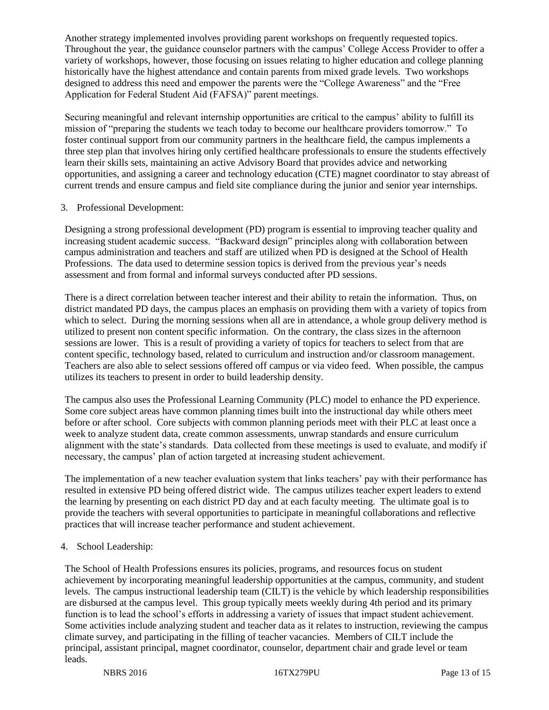Another strategy implemented involves providing parent workshops on frequently requested topics. Throughout the year, the guidance counselor partners with the campus' College Access Provider to offer a variety of workshops, however, those focusing on issues relating to higher education and college planning historically have the highest attendance and contain parents from mixed grade levels. Two workshops designed to address this need and empower the parents were the "College Awareness" and the "Free Application for Federal Student Aid (FAFSA)" parent meetings.

Securing meaningful and relevant internship opportunities are critical to the campus' ability to fulfill its mission of "preparing the students we teach today to become our healthcare providers tomorrow." To foster continual support from our community partners in the healthcare field, the campus implements a three step plan that involves hiring only certified healthcare professionals to ensure the students effectively learn their skills sets, maintaining an active Advisory Board that provides advice and networking opportunities, and assigning a career and technology education (CTE) magnet coordinator to stay abreast of current trends and ensure campus and field site compliance during the junior and senior year internships.

# 3. Professional Development:

Designing a strong professional development (PD) program is essential to improving teacher quality and increasing student academic success. "Backward design" principles along with collaboration between campus administration and teachers and staff are utilized when PD is designed at the School of Health Professions. The data used to determine session topics is derived from the previous year's needs assessment and from formal and informal surveys conducted after PD sessions.

There is a direct correlation between teacher interest and their ability to retain the information. Thus, on district mandated PD days, the campus places an emphasis on providing them with a variety of topics from which to select. During the morning sessions when all are in attendance, a whole group delivery method is utilized to present non content specific information. On the contrary, the class sizes in the afternoon sessions are lower. This is a result of providing a variety of topics for teachers to select from that are content specific, technology based, related to curriculum and instruction and/or classroom management. Teachers are also able to select sessions offered off campus or via video feed. When possible, the campus utilizes its teachers to present in order to build leadership density.

The campus also uses the Professional Learning Community (PLC) model to enhance the PD experience. Some core subject areas have common planning times built into the instructional day while others meet before or after school. Core subjects with common planning periods meet with their PLC at least once a week to analyze student data, create common assessments, unwrap standards and ensure curriculum alignment with the state's standards. Data collected from these meetings is used to evaluate, and modify if necessary, the campus' plan of action targeted at increasing student achievement.

The implementation of a new teacher evaluation system that links teachers' pay with their performance has resulted in extensive PD being offered district wide. The campus utilizes teacher expert leaders to extend the learning by presenting on each district PD day and at each faculty meeting. The ultimate goal is to provide the teachers with several opportunities to participate in meaningful collaborations and reflective practices that will increase teacher performance and student achievement.

### 4. School Leadership:

The School of Health Professions ensures its policies, programs, and resources focus on student achievement by incorporating meaningful leadership opportunities at the campus, community, and student levels. The campus instructional leadership team (CILT) is the vehicle by which leadership responsibilities are disbursed at the campus level. This group typically meets weekly during 4th period and its primary function is to lead the school's efforts in addressing a variety of issues that impact student achievement. Some activities include analyzing student and teacher data as it relates to instruction, reviewing the campus climate survey, and participating in the filling of teacher vacancies. Members of CILT include the principal, assistant principal, magnet coordinator, counselor, department chair and grade level or team leads.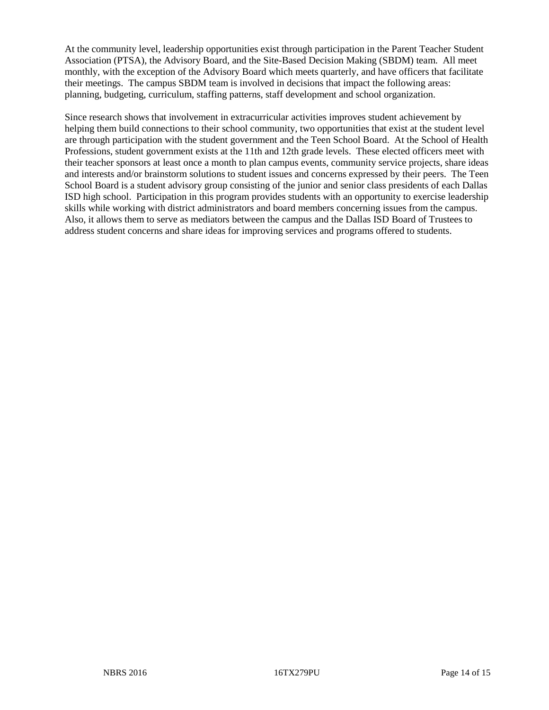At the community level, leadership opportunities exist through participation in the Parent Teacher Student Association (PTSA), the Advisory Board, and the Site-Based Decision Making (SBDM) team. All meet monthly, with the exception of the Advisory Board which meets quarterly, and have officers that facilitate their meetings. The campus SBDM team is involved in decisions that impact the following areas: planning, budgeting, curriculum, staffing patterns, staff development and school organization.

Since research shows that involvement in extracurricular activities improves student achievement by helping them build connections to their school community, two opportunities that exist at the student level are through participation with the student government and the Teen School Board. At the School of Health Professions, student government exists at the 11th and 12th grade levels. These elected officers meet with their teacher sponsors at least once a month to plan campus events, community service projects, share ideas and interests and/or brainstorm solutions to student issues and concerns expressed by their peers. The Teen School Board is a student advisory group consisting of the junior and senior class presidents of each Dallas ISD high school. Participation in this program provides students with an opportunity to exercise leadership skills while working with district administrators and board members concerning issues from the campus. Also, it allows them to serve as mediators between the campus and the Dallas ISD Board of Trustees to address student concerns and share ideas for improving services and programs offered to students.